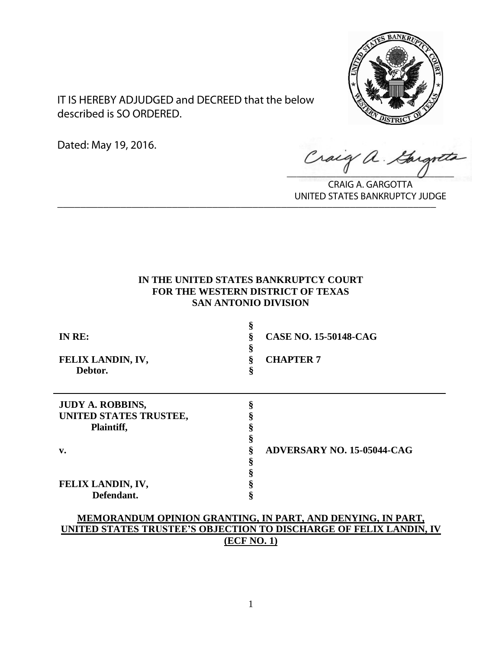

IT IS HEREBY ADJUDGED and DECREED that the below described is SO ORDERED.

Dated: May 19, 2016.

Craig a Gargo

CRAIG A. GARGOTTA UNITED STATES BANKRUPTCY JUDGE \_\_\_\_\_\_\_\_\_\_\_\_\_\_\_\_\_\_\_\_\_\_\_\_\_\_\_\_\_\_\_\_\_\_\_\_\_\_\_\_\_\_\_\_\_\_\_\_\_\_\_\_\_\_\_\_\_\_\_\_\_\_\_\_\_\_

# **IN THE UNITED STATES BANKRUPTCY COURT FOR THE WESTERN DISTRICT OF TEXAS SAN ANTONIO DIVISION**

| IN RE:<br>FELIX LANDIN, IV,<br>Debtor.                          | 8<br>8<br>ş<br>ş | <b>CASE NO. 15-50148-CAG</b><br><b>CHAPTER 7</b> |
|-----------------------------------------------------------------|------------------|--------------------------------------------------|
| <b>JUDY A. ROBBINS,</b><br>UNITED STATES TRUSTEE,<br>Plaintiff, | §                |                                                  |
| v.                                                              | ş                | ADVERSARY NO. 15-05044-CAG                       |
| FELIX LANDIN, IV,<br>Defendant.                                 |                  |                                                  |

# **MEMORANDUM OPINION GRANTING, IN PART, AND DENYING, IN PART, UNITED STATES TRUSTEE'S OBJECTION TO DISCHARGE OF FELIX LANDIN, IV (ECF NO. 1)**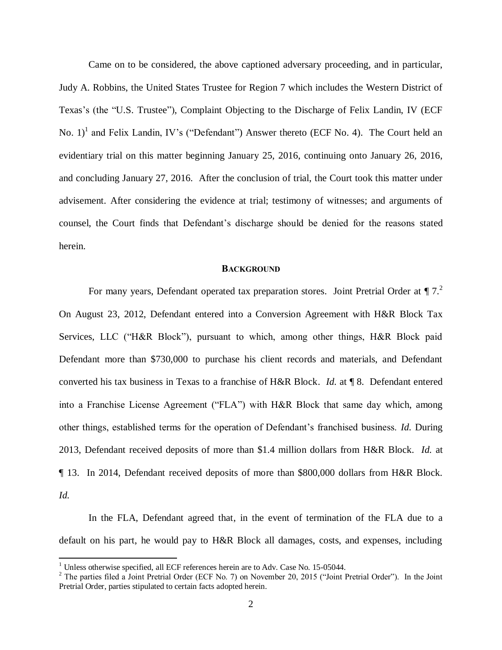Came on to be considered, the above captioned adversary proceeding, and in particular, Judy A. Robbins, the United States Trustee for Region 7 which includes the Western District of Texas's (the "U.S. Trustee"), Complaint Objecting to the Discharge of Felix Landin, IV (ECF No.  $1$ <sup>1</sup> and Felix Landin, IV's ("Defendant") Answer thereto (ECF No. 4). The Court held an evidentiary trial on this matter beginning January 25, 2016, continuing onto January 26, 2016, and concluding January 27, 2016. After the conclusion of trial, the Court took this matter under advisement. After considering the evidence at trial; testimony of witnesses; and arguments of counsel, the Court finds that Defendant's discharge should be denied for the reasons stated herein.

#### **BACKGROUND**

For many years, Defendant operated tax preparation stores. Joint Pretrial Order at  $\P$  7.<sup>2</sup> On August 23, 2012, Defendant entered into a Conversion Agreement with H&R Block Tax Services, LLC ("H&R Block"), pursuant to which, among other things, H&R Block paid Defendant more than \$730,000 to purchase his client records and materials, and Defendant converted his tax business in Texas to a franchise of H&R Block. *Id.* at ¶ 8. Defendant entered into a Franchise License Agreement ("FLA") with H&R Block that same day which, among other things, established terms for the operation of Defendant's franchised business. *Id.* During 2013, Defendant received deposits of more than \$1.4 million dollars from H&R Block. *Id.* at ¶ 13. In 2014, Defendant received deposits of more than \$800,000 dollars from H&R Block. *Id.* 

In the FLA, Defendant agreed that, in the event of termination of the FLA due to a default on his part, he would pay to H&R Block all damages, costs, and expenses, including

 $\overline{a}$ 

<sup>&</sup>lt;sup>1</sup> Unless otherwise specified, all ECF references herein are to Adv. Case No. 15-05044.

<sup>&</sup>lt;sup>2</sup> The parties filed a Joint Pretrial Order (ECF No. 7) on November 20, 2015 ("Joint Pretrial Order"). In the Joint Pretrial Order, parties stipulated to certain facts adopted herein.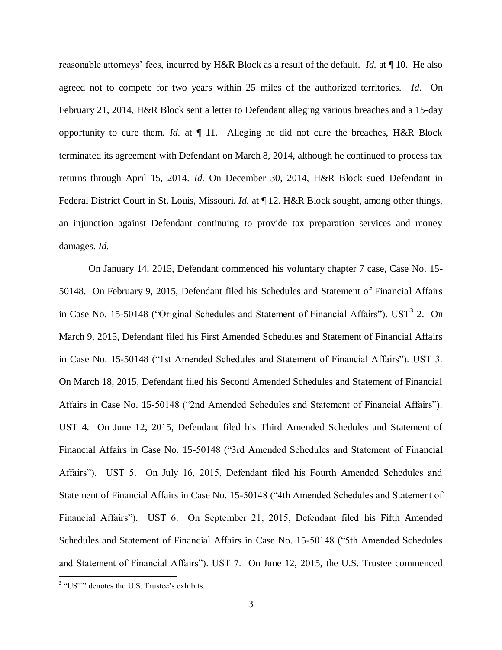reasonable attorneys' fees, incurred by H&R Block as a result of the default. *Id.* at ¶ 10. He also agreed not to compete for two years within 25 miles of the authorized territories. *Id*. On February 21, 2014, H&R Block sent a letter to Defendant alleging various breaches and a 15-day opportunity to cure them. *Id.* at ¶ 11. Alleging he did not cure the breaches, H&R Block terminated its agreement with Defendant on March 8, 2014, although he continued to process tax returns through April 15, 2014. *Id.* On December 30, 2014, H&R Block sued Defendant in Federal District Court in St. Louis, Missouri. *Id.* at  $\P$  12. H&R Block sought, among other things, an injunction against Defendant continuing to provide tax preparation services and money damages. *Id.* 

On January 14, 2015, Defendant commenced his voluntary chapter 7 case, Case No. 15- 50148. On February 9, 2015, Defendant filed his Schedules and Statement of Financial Affairs in Case No. 15-50148 ("Original Schedules and Statement of Financial Affairs"). UST<sup>3</sup> 2. On March 9, 2015, Defendant filed his First Amended Schedules and Statement of Financial Affairs in Case No. 15-50148 ("1st Amended Schedules and Statement of Financial Affairs"). UST 3. On March 18, 2015, Defendant filed his Second Amended Schedules and Statement of Financial Affairs in Case No. 15-50148 ("2nd Amended Schedules and Statement of Financial Affairs"). UST 4. On June 12, 2015, Defendant filed his Third Amended Schedules and Statement of Financial Affairs in Case No. 15-50148 ("3rd Amended Schedules and Statement of Financial Affairs"). UST 5. On July 16, 2015, Defendant filed his Fourth Amended Schedules and Statement of Financial Affairs in Case No. 15-50148 ("4th Amended Schedules and Statement of Financial Affairs"). UST 6. On September 21, 2015, Defendant filed his Fifth Amended Schedules and Statement of Financial Affairs in Case No. 15-50148 ("5th Amended Schedules and Statement of Financial Affairs"). UST 7. On June 12, 2015, the U.S. Trustee commenced

 $\overline{\phantom{a}}$ 

<sup>&</sup>lt;sup>3</sup> "UST" denotes the U.S. Trustee's exhibits.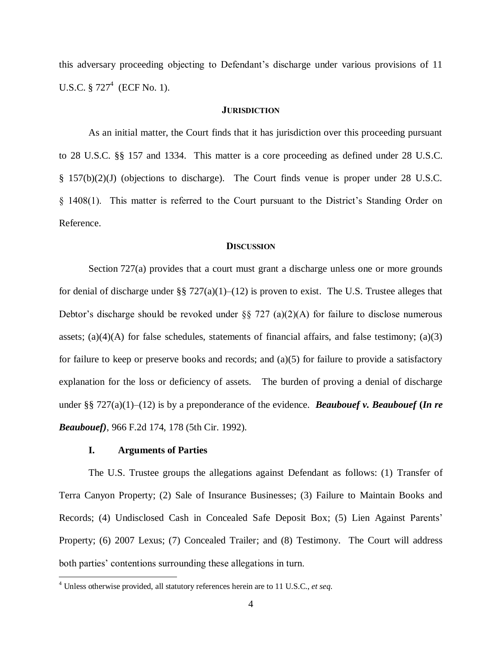this adversary proceeding objecting to Defendant's discharge under various provisions of 11 U.S.C.  $\S 727<sup>4</sup>$  (ECF No. 1).

### **JURISDICTION**

As an initial matter, the Court finds that it has jurisdiction over this proceeding pursuant to 28 U.S.C. §§ 157 and 1334. This matter is a core proceeding as defined under 28 U.S.C. § 157(b)(2)(J) (objections to discharge). The Court finds venue is proper under 28 U.S.C. § 1408(1). This matter is referred to the Court pursuant to the District's Standing Order on Reference.

#### **DISCUSSION**

Section 727(a) provides that a court must grant a discharge unless one or more grounds for denial of discharge under §§ 727(a)(1)–(12) is proven to exist. The U.S. Trustee alleges that Debtor's discharge should be revoked under  $\S$ § 727 (a)(2)(A) for failure to disclose numerous assets;  $(a)(4)(A)$  for false schedules, statements of financial affairs, and false testimony;  $(a)(3)$ for failure to keep or preserve books and records; and  $(a)(5)$  for failure to provide a satisfactory explanation for the loss or deficiency of assets. The burden of proving a denial of discharge under §§ 727(a)(1)–(12) is by a preponderance of the evidence. *Beaubouef v. Beaubouef* **(***In re Beaubouef)*, 966 F.2d 174, 178 (5th Cir. 1992).

### **I. Arguments of Parties**

 $\overline{\phantom{a}}$ 

The U.S. Trustee groups the allegations against Defendant as follows: (1) Transfer of Terra Canyon Property; (2) Sale of Insurance Businesses; (3) Failure to Maintain Books and Records; (4) Undisclosed Cash in Concealed Safe Deposit Box; (5) Lien Against Parents' Property; (6) 2007 Lexus; (7) Concealed Trailer; and (8) Testimony. The Court will address both parties' contentions surrounding these allegations in turn.

<sup>4</sup> Unless otherwise provided, all statutory references herein are to 11 U.S.C., *et seq*.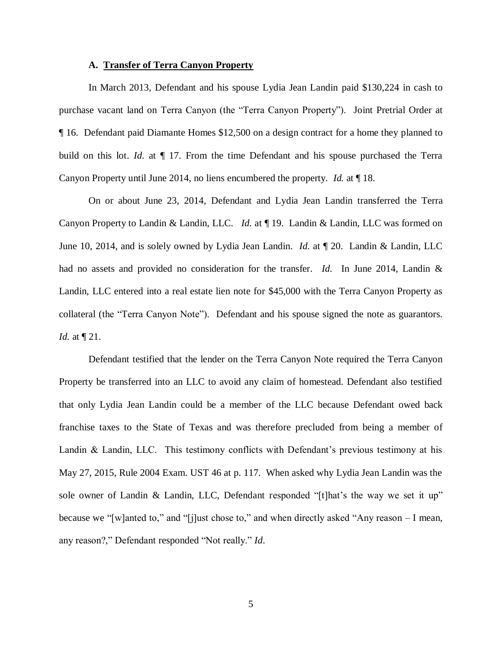### **A. Transfer of Terra Canyon Property**

In March 2013, Defendant and his spouse Lydia Jean Landin paid \$130,224 in cash to purchase vacant land on Terra Canyon (the "Terra Canyon Property"). Joint Pretrial Order at ¶ 16. Defendant paid Diamante Homes \$12,500 on a design contract for a home they planned to build on this lot. *Id.* at ¶ 17. From the time Defendant and his spouse purchased the Terra Canyon Property until June 2014, no liens encumbered the property. *Id.* at ¶ 18.

On or about June 23, 2014, Defendant and Lydia Jean Landin transferred the Terra Canyon Property to Landin & Landin, LLC. *Id.* at ¶ 19. Landin & Landin, LLC was formed on June 10, 2014, and is solely owned by Lydia Jean Landin. *Id.* at ¶ 20. Landin & Landin, LLC had no assets and provided no consideration for the transfer. *Id.* In June 2014, Landin & Landin, LLC entered into a real estate lien note for \$45,000 with the Terra Canyon Property as collateral (the "Terra Canyon Note"). Defendant and his spouse signed the note as guarantors. *Id.* at ¶ 21.

Defendant testified that the lender on the Terra Canyon Note required the Terra Canyon Property be transferred into an LLC to avoid any claim of homestead. Defendant also testified that only Lydia Jean Landin could be a member of the LLC because Defendant owed back franchise taxes to the State of Texas and was therefore precluded from being a member of Landin & Landin, LLC. This testimony conflicts with Defendant's previous testimony at his May 27, 2015, Rule 2004 Exam. UST 46 at p. 117. When asked why Lydia Jean Landin was the sole owner of Landin & Landin, LLC, Defendant responded "[t]hat's the way we set it up" because we "[w]anted to," and "[j]ust chose to," and when directly asked "Any reason – I mean, any reason?," Defendant responded "Not really." *Id*.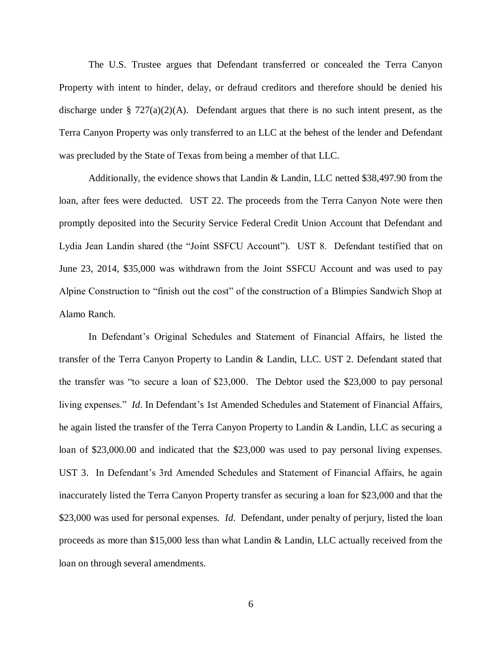The U.S. Trustee argues that Defendant transferred or concealed the Terra Canyon Property with intent to hinder, delay, or defraud creditors and therefore should be denied his discharge under § 727(a)(2)(A). Defendant argues that there is no such intent present, as the Terra Canyon Property was only transferred to an LLC at the behest of the lender and Defendant was precluded by the State of Texas from being a member of that LLC.

Additionally, the evidence shows that Landin & Landin, LLC netted \$38,497.90 from the loan, after fees were deducted. UST 22. The proceeds from the Terra Canyon Note were then promptly deposited into the Security Service Federal Credit Union Account that Defendant and Lydia Jean Landin shared (the "Joint SSFCU Account"). UST 8. Defendant testified that on June 23, 2014, \$35,000 was withdrawn from the Joint SSFCU Account and was used to pay Alpine Construction to "finish out the cost" of the construction of a Blimpies Sandwich Shop at Alamo Ranch.

In Defendant's Original Schedules and Statement of Financial Affairs, he listed the transfer of the Terra Canyon Property to Landin & Landin, LLC. UST 2. Defendant stated that the transfer was "to secure a loan of \$23,000. The Debtor used the \$23,000 to pay personal living expenses." *Id*. In Defendant's 1st Amended Schedules and Statement of Financial Affairs, he again listed the transfer of the Terra Canyon Property to Landin & Landin, LLC as securing a loan of \$23,000.00 and indicated that the \$23,000 was used to pay personal living expenses. UST 3. In Defendant's 3rd Amended Schedules and Statement of Financial Affairs, he again inaccurately listed the Terra Canyon Property transfer as securing a loan for \$23,000 and that the \$23,000 was used for personal expenses. *Id*. Defendant, under penalty of perjury, listed the loan proceeds as more than \$15,000 less than what Landin & Landin, LLC actually received from the loan on through several amendments.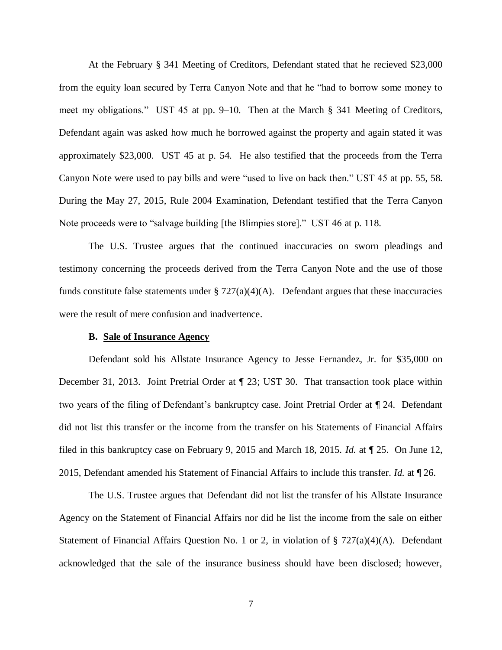At the February § 341 Meeting of Creditors, Defendant stated that he recieved \$23,000 from the equity loan secured by Terra Canyon Note and that he "had to borrow some money to meet my obligations." UST 45 at pp. 9–10. Then at the March § 341 Meeting of Creditors, Defendant again was asked how much he borrowed against the property and again stated it was approximately \$23,000. UST 45 at p. 54. He also testified that the proceeds from the Terra Canyon Note were used to pay bills and were "used to live on back then." UST 45 at pp. 55, 58. During the May 27, 2015, Rule 2004 Examination, Defendant testified that the Terra Canyon Note proceeds were to "salvage building [the Blimpies store]." UST 46 at p. 118.

The U.S. Trustee argues that the continued inaccuracies on sworn pleadings and testimony concerning the proceeds derived from the Terra Canyon Note and the use of those funds constitute false statements under  $\S 727(a)(4)(A)$ . Defendant argues that these inaccuracies were the result of mere confusion and inadvertence.

### **B. Sale of Insurance Agency**

Defendant sold his Allstate Insurance Agency to Jesse Fernandez, Jr. for \$35,000 on December 31, 2013. Joint Pretrial Order at ¶ 23; UST 30. That transaction took place within two years of the filing of Defendant's bankruptcy case. Joint Pretrial Order at ¶ 24. Defendant did not list this transfer or the income from the transfer on his Statements of Financial Affairs filed in this bankruptcy case on February 9, 2015 and March 18, 2015. *Id.* at ¶ 25. On June 12, 2015, Defendant amended his Statement of Financial Affairs to include this transfer. *Id.* at ¶ 26.

The U.S. Trustee argues that Defendant did not list the transfer of his Allstate Insurance Agency on the Statement of Financial Affairs nor did he list the income from the sale on either Statement of Financial Affairs Question No. 1 or 2, in violation of § 727(a)(4)(A). Defendant acknowledged that the sale of the insurance business should have been disclosed; however,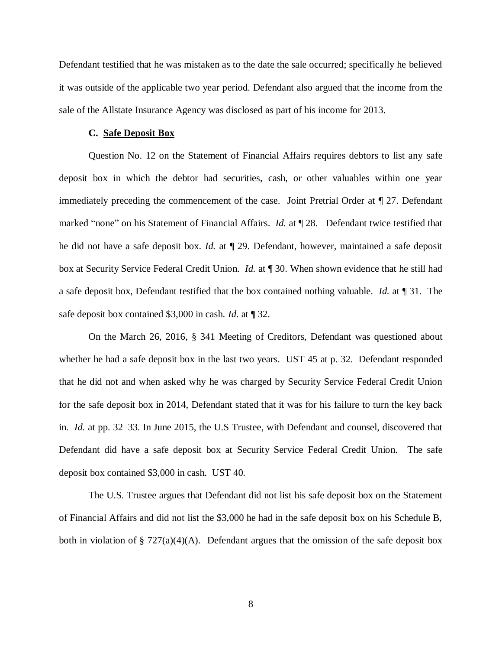Defendant testified that he was mistaken as to the date the sale occurred; specifically he believed it was outside of the applicable two year period. Defendant also argued that the income from the sale of the Allstate Insurance Agency was disclosed as part of his income for 2013.

#### **C. Safe Deposit Box**

Question No. 12 on the Statement of Financial Affairs requires debtors to list any safe deposit box in which the debtor had securities, cash, or other valuables within one year immediately preceding the commencement of the case. Joint Pretrial Order at ¶ 27. Defendant marked "none" on his Statement of Financial Affairs. *Id.* at ¶ 28. Defendant twice testified that he did not have a safe deposit box. *Id.* at ¶ 29. Defendant, however, maintained a safe deposit box at Security Service Federal Credit Union. *Id.* at ¶ 30. When shown evidence that he still had a safe deposit box, Defendant testified that the box contained nothing valuable. *Id.* at ¶ 31. The safe deposit box contained \$3,000 in cash. *Id*. at ¶ 32.

On the March 26, 2016, § 341 Meeting of Creditors, Defendant was questioned about whether he had a safe deposit box in the last two years. UST 45 at p. 32. Defendant responded that he did not and when asked why he was charged by Security Service Federal Credit Union for the safe deposit box in 2014, Defendant stated that it was for his failure to turn the key back in. *Id.* at pp. 32–33. In June 2015, the U.S Trustee, with Defendant and counsel, discovered that Defendant did have a safe deposit box at Security Service Federal Credit Union. The safe deposit box contained \$3,000 in cash. UST 40.

The U.S. Trustee argues that Defendant did not list his safe deposit box on the Statement of Financial Affairs and did not list the \$3,000 he had in the safe deposit box on his Schedule B, both in violation of  $\S 727(a)(4)(A)$ . Defendant argues that the omission of the safe deposit box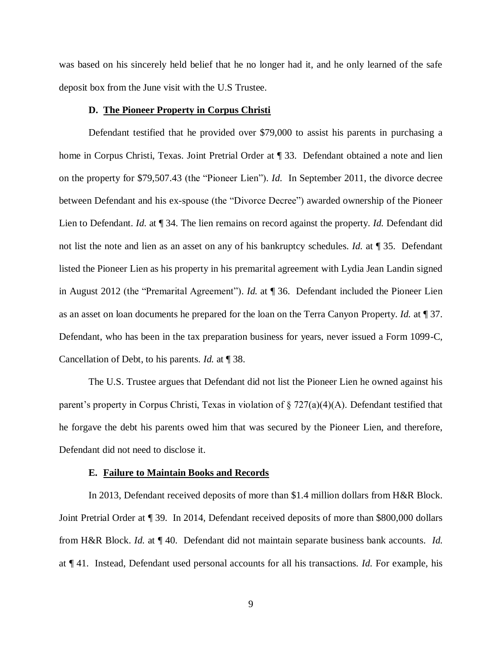was based on his sincerely held belief that he no longer had it, and he only learned of the safe deposit box from the June visit with the U.S Trustee.

### **D. The Pioneer Property in Corpus Christi**

Defendant testified that he provided over \$79,000 to assist his parents in purchasing a home in Corpus Christi, Texas. Joint Pretrial Order at  $\P$  33. Defendant obtained a note and lien on the property for \$79,507.43 (the "Pioneer Lien"). *Id.* In September 2011, the divorce decree between Defendant and his ex-spouse (the "Divorce Decree") awarded ownership of the Pioneer Lien to Defendant. *Id.* at ¶ 34. The lien remains on record against the property. *Id.* Defendant did not list the note and lien as an asset on any of his bankruptcy schedules. *Id.* at ¶ 35. Defendant listed the Pioneer Lien as his property in his premarital agreement with Lydia Jean Landin signed in August 2012 (the "Premarital Agreement"). *Id.* at ¶ 36. Defendant included the Pioneer Lien as an asset on loan documents he prepared for the loan on the Terra Canyon Property. *Id.* at ¶ 37. Defendant, who has been in the tax preparation business for years, never issued a Form 1099-C, Cancellation of Debt, to his parents. *Id.* at ¶ 38.

The U.S. Trustee argues that Defendant did not list the Pioneer Lien he owned against his parent's property in Corpus Christi, Texas in violation of  $\S 727(a)(4)(A)$ . Defendant testified that he forgave the debt his parents owed him that was secured by the Pioneer Lien, and therefore, Defendant did not need to disclose it.

#### **E. Failure to Maintain Books and Records**

In 2013, Defendant received deposits of more than \$1.4 million dollars from H&R Block. Joint Pretrial Order at ¶ 39. In 2014, Defendant received deposits of more than \$800,000 dollars from H&R Block. *Id.* at ¶ 40. Defendant did not maintain separate business bank accounts. *Id.* at ¶ 41. Instead, Defendant used personal accounts for all his transactions. *Id.* For example, his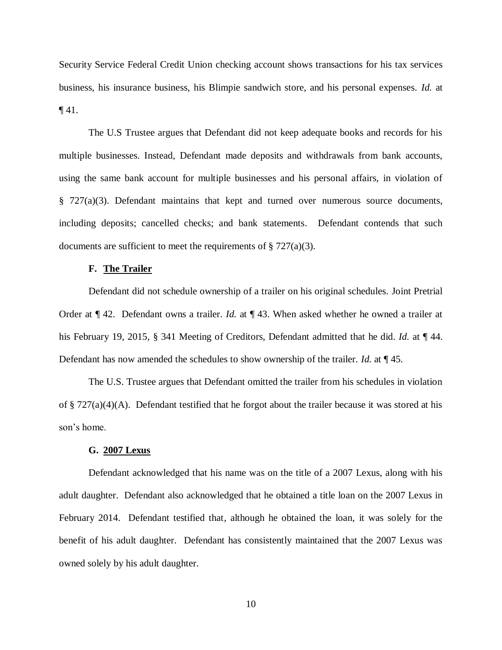Security Service Federal Credit Union checking account shows transactions for his tax services business, his insurance business, his Blimpie sandwich store, and his personal expenses. *Id.* at  $\P$ 41.

The U.S Trustee argues that Defendant did not keep adequate books and records for his multiple businesses. Instead, Defendant made deposits and withdrawals from bank accounts, using the same bank account for multiple businesses and his personal affairs, in violation of § 727(a)(3). Defendant maintains that kept and turned over numerous source documents, including deposits; cancelled checks; and bank statements. Defendant contends that such documents are sufficient to meet the requirements of  $\S 727(a)(3)$ .

#### **F. The Trailer**

Defendant did not schedule ownership of a trailer on his original schedules. Joint Pretrial Order at ¶ 42. Defendant owns a trailer. *Id.* at ¶ 43. When asked whether he owned a trailer at his February 19, 2015, § 341 Meeting of Creditors, Defendant admitted that he did. *Id.* at ¶ 44. Defendant has now amended the schedules to show ownership of the trailer. *Id.* at ¶ 45.

The U.S. Trustee argues that Defendant omitted the trailer from his schedules in violation of § 727(a)(4)(A). Defendant testified that he forgot about the trailer because it was stored at his son's home.

#### **G. 2007 Lexus**

Defendant acknowledged that his name was on the title of a 2007 Lexus, along with his adult daughter. Defendant also acknowledged that he obtained a title loan on the 2007 Lexus in February 2014. Defendant testified that, although he obtained the loan, it was solely for the benefit of his adult daughter. Defendant has consistently maintained that the 2007 Lexus was owned solely by his adult daughter.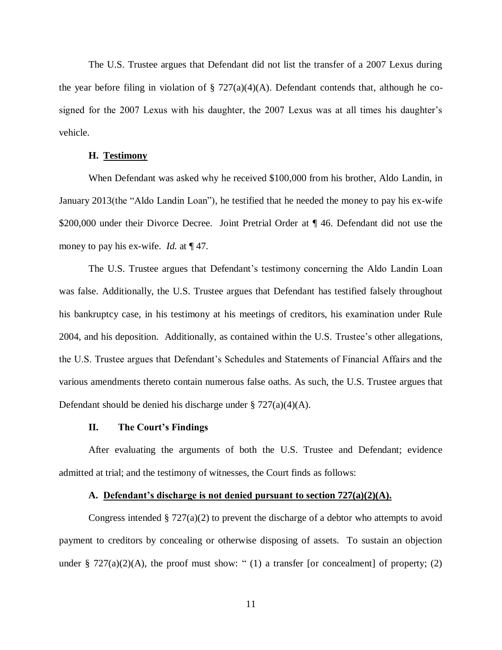The U.S. Trustee argues that Defendant did not list the transfer of a 2007 Lexus during the year before filing in violation of  $\S 727(a)(4)(A)$ . Defendant contends that, although he cosigned for the 2007 Lexus with his daughter, the 2007 Lexus was at all times his daughter's vehicle.

### **H. Testimony**

When Defendant was asked why he received \$100,000 from his brother, Aldo Landin, in January 2013(the "Aldo Landin Loan"), he testified that he needed the money to pay his ex-wife \$200,000 under their Divorce Decree. Joint Pretrial Order at  $\P$  46. Defendant did not use the money to pay his ex-wife. *Id.* at ¶ 47.

The U.S. Trustee argues that Defendant's testimony concerning the Aldo Landin Loan was false. Additionally, the U.S. Trustee argues that Defendant has testified falsely throughout his bankruptcy case, in his testimony at his meetings of creditors, his examination under Rule 2004, and his deposition. Additionally, as contained within the U.S. Trustee's other allegations, the U.S. Trustee argues that Defendant's Schedules and Statements of Financial Affairs and the various amendments thereto contain numerous false oaths. As such, the U.S. Trustee argues that Defendant should be denied his discharge under  $\S 727(a)(4)(A)$ .

### **II. The Court's Findings**

After evaluating the arguments of both the U.S. Trustee and Defendant; evidence admitted at trial; and the testimony of witnesses, the Court finds as follows:

#### **A. Defendant's discharge is not denied pursuant to section 727(a)(2)(A).**

Congress intended  $\S 727(a)(2)$  to prevent the discharge of a debtor who attempts to avoid payment to creditors by concealing or otherwise disposing of assets. To sustain an objection under §  $727(a)(2)(A)$ , the proof must show: "(1) a transfer [or concealment] of property; (2)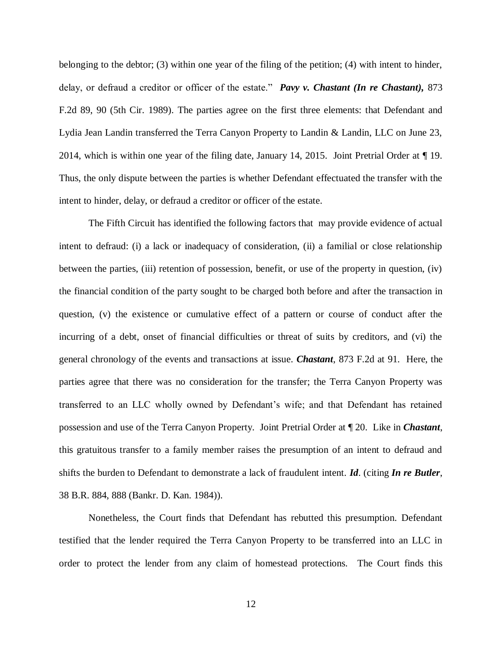belonging to the debtor; (3) within one year of the filing of the petition; (4) with intent to hinder, delay, or defraud a creditor or officer of the estate." *Pavy v. Chastant (In re Chastant),* 873 F.2d 89, 90 (5th Cir. 1989). The parties agree on the first three elements: that Defendant and Lydia Jean Landin transferred the Terra Canyon Property to Landin & Landin, LLC on June 23, 2014, which is within one year of the filing date, January 14, 2015. Joint Pretrial Order at ¶ 19. Thus, the only dispute between the parties is whether Defendant effectuated the transfer with the intent to hinder, delay, or defraud a creditor or officer of the estate.

The Fifth Circuit has identified the following factors that may provide evidence of actual intent to defraud: (i) a lack or inadequacy of consideration, (ii) a familial or close relationship between the parties, (iii) retention of possession, benefit, or use of the property in question, (iv) the financial condition of the party sought to be charged both before and after the transaction in question, (v) the existence or cumulative effect of a pattern or course of conduct after the incurring of a debt, onset of financial difficulties or threat of suits by creditors, and (vi) the general chronology of the events and transactions at issue. *Chastant*, 873 F.2d at 91. Here, the parties agree that there was no consideration for the transfer; the Terra Canyon Property was transferred to an LLC wholly owned by Defendant's wife; and that Defendant has retained possession and use of the Terra Canyon Property. Joint Pretrial Order at ¶ 20. Like in *Chastant*, this gratuitous transfer to a family member raises the presumption of an intent to defraud and shifts the burden to Defendant to demonstrate a lack of fraudulent intent. *Id*. (citing *In re Butler*, 38 B.R. 884, 888 (Bankr. D. Kan. 1984)).

Nonetheless, the Court finds that Defendant has rebutted this presumption. Defendant testified that the lender required the Terra Canyon Property to be transferred into an LLC in order to protect the lender from any claim of homestead protections. The Court finds this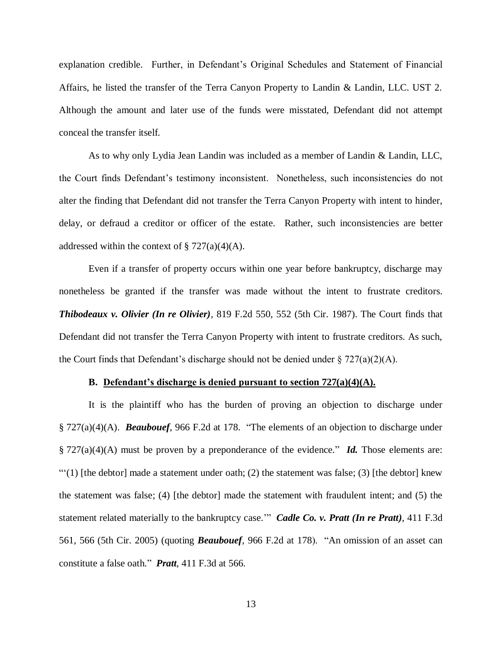explanation credible. Further, in Defendant's Original Schedules and Statement of Financial Affairs, he listed the transfer of the Terra Canyon Property to Landin & Landin, LLC. UST 2. Although the amount and later use of the funds were misstated, Defendant did not attempt conceal the transfer itself.

As to why only Lydia Jean Landin was included as a member of Landin & Landin, LLC, the Court finds Defendant's testimony inconsistent. Nonetheless, such inconsistencies do not alter the finding that Defendant did not transfer the Terra Canyon Property with intent to hinder, delay, or defraud a creditor or officer of the estate. Rather, such inconsistencies are better addressed within the context of  $\S 727(a)(4)(A)$ .

Even if a transfer of property occurs within one year before bankruptcy, discharge may nonetheless be granted if the transfer was made without the intent to frustrate creditors. *Thibodeaux v. Olivier (In re Olivier),* 819 F.2d 550, 552 (5th Cir. 1987). The Court finds that Defendant did not transfer the Terra Canyon Property with intent to frustrate creditors. As such, the Court finds that Defendant's discharge should not be denied under  $\S 727(a)(2)(A)$ .

### **B. Defendant's discharge is denied pursuant to section 727(a)(4)(A).**

It is the plaintiff who has the burden of proving an objection to discharge under § 727(a)(4)(A). *Beaubouef*, 966 F.2d at 178. "The elements of an objection to discharge under § 727(a)(4)(A) must be proven by a preponderance of the evidence." *Id.* Those elements are: ""(1) [the debtor] made a statement under oath; (2) the statement was false; (3) [the debtor] knew the statement was false; (4) [the debtor] made the statement with fraudulent intent; and (5) the statement related materially to the bankruptcy case.'" *Cadle Co. v. Pratt (In re Pratt)*, 411 F.3d 561, 566 (5th Cir. 2005) (quoting *Beaubouef*, 966 F.2d at 178). "An omission of an asset can constitute a false oath." *Pratt*, 411 F.3d at 566.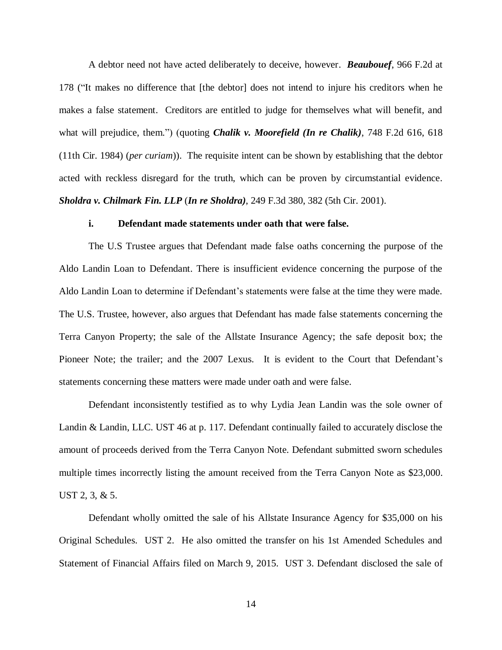A debtor need not have acted deliberately to deceive, however. *Beaubouef*, 966 F.2d at 178 ("It makes no difference that [the debtor] does not intend to injure his creditors when he makes a false statement. Creditors are entitled to judge for themselves what will benefit, and what will prejudice, them.") (quoting *Chalik v. Moorefield (In re Chalik)*, 748 F.2d 616, 618 (11th Cir. 1984) (*per curiam*)). The requisite intent can be shown by establishing that the debtor acted with reckless disregard for the truth, which can be proven by circumstantial evidence. *Sholdra v. Chilmark Fin. LLP* (*In re Sholdra)*, 249 F.3d 380, 382 (5th Cir. 2001).

### **i. Defendant made statements under oath that were false.**

The U.S Trustee argues that Defendant made false oaths concerning the purpose of the Aldo Landin Loan to Defendant. There is insufficient evidence concerning the purpose of the Aldo Landin Loan to determine if Defendant's statements were false at the time they were made. The U.S. Trustee, however, also argues that Defendant has made false statements concerning the Terra Canyon Property; the sale of the Allstate Insurance Agency; the safe deposit box; the Pioneer Note; the trailer; and the 2007 Lexus. It is evident to the Court that Defendant's statements concerning these matters were made under oath and were false.

Defendant inconsistently testified as to why Lydia Jean Landin was the sole owner of Landin & Landin, LLC. UST 46 at p. 117. Defendant continually failed to accurately disclose the amount of proceeds derived from the Terra Canyon Note. Defendant submitted sworn schedules multiple times incorrectly listing the amount received from the Terra Canyon Note as \$23,000. UST 2, 3, & 5.

Defendant wholly omitted the sale of his Allstate Insurance Agency for \$35,000 on his Original Schedules. UST 2. He also omitted the transfer on his 1st Amended Schedules and Statement of Financial Affairs filed on March 9, 2015. UST 3. Defendant disclosed the sale of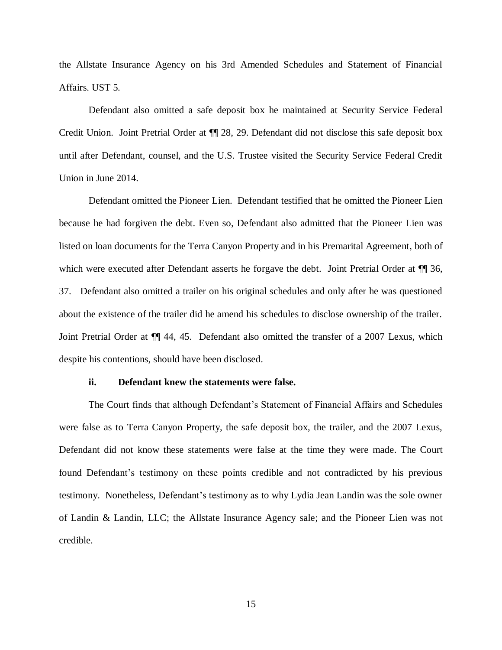the Allstate Insurance Agency on his 3rd Amended Schedules and Statement of Financial Affairs. UST 5.

Defendant also omitted a safe deposit box he maintained at Security Service Federal Credit Union. Joint Pretrial Order at ¶¶ 28, 29. Defendant did not disclose this safe deposit box until after Defendant, counsel, and the U.S. Trustee visited the Security Service Federal Credit Union in June 2014.

Defendant omitted the Pioneer Lien. Defendant testified that he omitted the Pioneer Lien because he had forgiven the debt. Even so, Defendant also admitted that the Pioneer Lien was listed on loan documents for the Terra Canyon Property and in his Premarital Agreement, both of which were executed after Defendant asserts he forgave the debt. Joint Pretrial Order at  $\P$  36, 37. Defendant also omitted a trailer on his original schedules and only after he was questioned about the existence of the trailer did he amend his schedules to disclose ownership of the trailer. Joint Pretrial Order at ¶¶ 44, 45. Defendant also omitted the transfer of a 2007 Lexus, which despite his contentions, should have been disclosed.

### **ii. Defendant knew the statements were false.**

The Court finds that although Defendant's Statement of Financial Affairs and Schedules were false as to Terra Canyon Property, the safe deposit box, the trailer, and the 2007 Lexus, Defendant did not know these statements were false at the time they were made. The Court found Defendant's testimony on these points credible and not contradicted by his previous testimony. Nonetheless, Defendant's testimony as to why Lydia Jean Landin was the sole owner of Landin & Landin, LLC; the Allstate Insurance Agency sale; and the Pioneer Lien was not credible.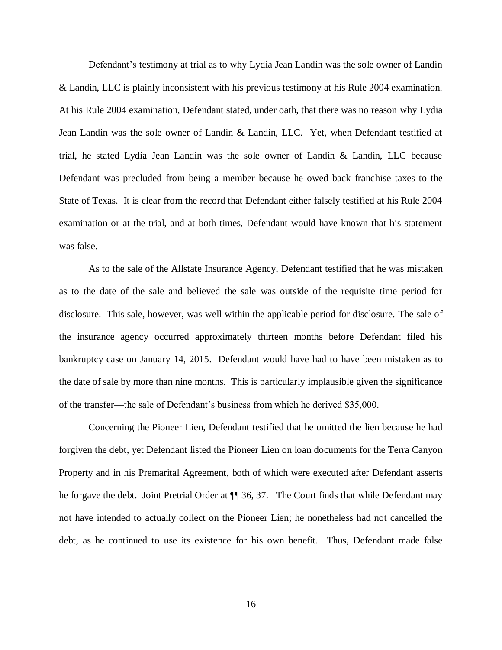Defendant's testimony at trial as to why Lydia Jean Landin was the sole owner of Landin & Landin, LLC is plainly inconsistent with his previous testimony at his Rule 2004 examination. At his Rule 2004 examination, Defendant stated, under oath, that there was no reason why Lydia Jean Landin was the sole owner of Landin & Landin, LLC. Yet, when Defendant testified at trial, he stated Lydia Jean Landin was the sole owner of Landin & Landin, LLC because Defendant was precluded from being a member because he owed back franchise taxes to the State of Texas. It is clear from the record that Defendant either falsely testified at his Rule 2004 examination or at the trial, and at both times, Defendant would have known that his statement was false.

As to the sale of the Allstate Insurance Agency, Defendant testified that he was mistaken as to the date of the sale and believed the sale was outside of the requisite time period for disclosure. This sale, however, was well within the applicable period for disclosure. The sale of the insurance agency occurred approximately thirteen months before Defendant filed his bankruptcy case on January 14, 2015. Defendant would have had to have been mistaken as to the date of sale by more than nine months. This is particularly implausible given the significance of the transfer—the sale of Defendant's business from which he derived \$35,000.

Concerning the Pioneer Lien, Defendant testified that he omitted the lien because he had forgiven the debt, yet Defendant listed the Pioneer Lien on loan documents for the Terra Canyon Property and in his Premarital Agreement, both of which were executed after Defendant asserts he forgave the debt. Joint Pretrial Order at ¶¶ 36, 37. The Court finds that while Defendant may not have intended to actually collect on the Pioneer Lien; he nonetheless had not cancelled the debt, as he continued to use its existence for his own benefit. Thus, Defendant made false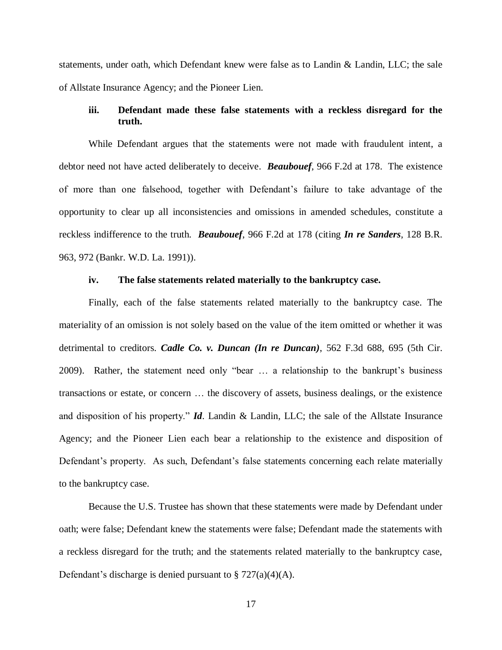statements, under oath, which Defendant knew were false as to Landin & Landin, LLC; the sale of Allstate Insurance Agency; and the Pioneer Lien.

## **iii. Defendant made these false statements with a reckless disregard for the truth.**

While Defendant argues that the statements were not made with fraudulent intent, a debtor need not have acted deliberately to deceive. *Beaubouef*, 966 F.2d at 178. The existence of more than one falsehood, together with Defendant's failure to take advantage of the opportunity to clear up all inconsistencies and omissions in amended schedules, constitute a reckless indifference to the truth. *Beaubouef*, 966 F.2d at 178 (citing *In re Sanders*, 128 B.R. 963, 972 (Bankr. W.D. La. 1991)).

### **iv. The false statements related materially to the bankruptcy case.**

Finally, each of the false statements related materially to the bankruptcy case. The materiality of an omission is not solely based on the value of the item omitted or whether it was detrimental to creditors. *Cadle Co. v. Duncan (In re Duncan)*, 562 F.3d 688, 695 (5th Cir. 2009). Rather, the statement need only "bear … a relationship to the bankrupt's business transactions or estate, or concern … the discovery of assets, business dealings, or the existence and disposition of his property." *Id*. Landin & Landin, LLC; the sale of the Allstate Insurance Agency; and the Pioneer Lien each bear a relationship to the existence and disposition of Defendant's property. As such, Defendant's false statements concerning each relate materially to the bankruptcy case.

Because the U.S. Trustee has shown that these statements were made by Defendant under oath; were false; Defendant knew the statements were false; Defendant made the statements with a reckless disregard for the truth; and the statements related materially to the bankruptcy case, Defendant's discharge is denied pursuant to  $\S 727(a)(4)(A)$ .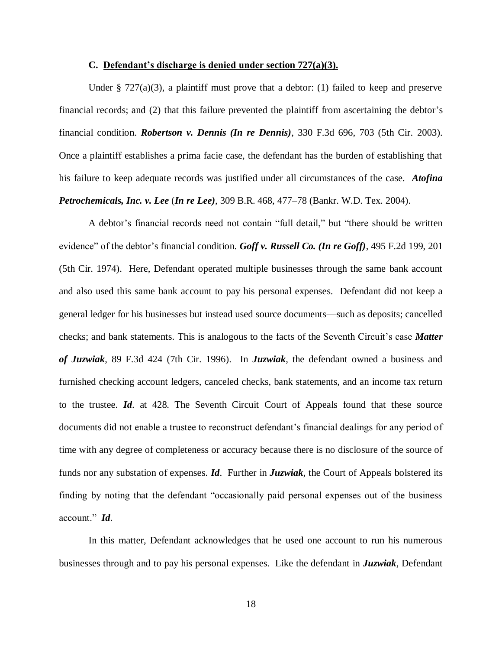#### **C. Defendant's discharge is denied under section 727(a)(3).**

Under  $\S$  727(a)(3), a plaintiff must prove that a debtor: (1) failed to keep and preserve financial records; and (2) that this failure prevented the plaintiff from ascertaining the debtor's financial condition. *Robertson v. Dennis (In re Dennis)*, 330 F.3d 696, 703 (5th Cir. 2003). Once a plaintiff establishes a prima facie case, the defendant has the burden of establishing that his failure to keep adequate records was justified under all circumstances of the case. *Atofina Petrochemicals, Inc. v. Lee* (*In re Lee)*, 309 B.R. 468, 477–78 (Bankr. W.D. Tex. 2004).

A debtor's financial records need not contain "full detail," but "there should be written evidence" of the debtor's financial condition. *Goff v. Russell Co. (In re Goff)*, 495 F.2d 199, 201 (5th Cir. 1974). Here, Defendant operated multiple businesses through the same bank account and also used this same bank account to pay his personal expenses. Defendant did not keep a general ledger for his businesses but instead used source documents—such as deposits; cancelled checks; and bank statements. This is analogous to the facts of the Seventh Circuit's case *Matter of Juzwiak*, 89 F.3d 424 (7th Cir. 1996). In *Juzwiak*, the defendant owned a business and furnished checking account ledgers, canceled checks, bank statements, and an income tax return to the trustee. *Id*. at 428. The Seventh Circuit Court of Appeals found that these source documents did not enable a trustee to reconstruct defendant's financial dealings for any period of time with any degree of completeness or accuracy because there is no disclosure of the source of funds nor any substation of expenses. *Id*. Further in *Juzwiak*, the Court of Appeals bolstered its finding by noting that the defendant "occasionally paid personal expenses out of the business account." *Id*.

In this matter, Defendant acknowledges that he used one account to run his numerous businesses through and to pay his personal expenses. Like the defendant in *Juzwiak*, Defendant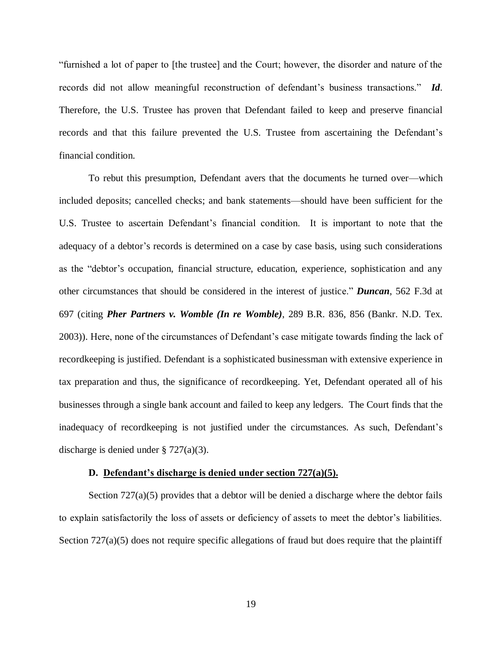"furnished a lot of paper to [the trustee] and the Court; however, the disorder and nature of the records did not allow meaningful reconstruction of defendant's business transactions." *Id*. Therefore, the U.S. Trustee has proven that Defendant failed to keep and preserve financial records and that this failure prevented the U.S. Trustee from ascertaining the Defendant's financial condition.

To rebut this presumption, Defendant avers that the documents he turned over—which included deposits; cancelled checks; and bank statements—should have been sufficient for the U.S. Trustee to ascertain Defendant's financial condition. It is important to note that the adequacy of a debtor's records is determined on a case by case basis, using such considerations as the "debtor's occupation, financial structure, education, experience, sophistication and any other circumstances that should be considered in the interest of justice." *Duncan*, 562 F.3d at 697 (citing *Pher Partners v. Womble (In re Womble)*, 289 B.R. 836, 856 (Bankr. N.D. Tex. 2003)). Here, none of the circumstances of Defendant's case mitigate towards finding the lack of recordkeeping is justified. Defendant is a sophisticated businessman with extensive experience in tax preparation and thus, the significance of recordkeeping. Yet, Defendant operated all of his businesses through a single bank account and failed to keep any ledgers. The Court finds that the inadequacy of recordkeeping is not justified under the circumstances. As such, Defendant's discharge is denied under § 727(a)(3).

### **D. Defendant's discharge is denied under section 727(a)(5).**

Section 727(a)(5) provides that a debtor will be denied a discharge where the debtor fails to explain satisfactorily the loss of assets or deficiency of assets to meet the debtor's liabilities. Section 727(a)(5) does not require specific allegations of fraud but does require that the plaintiff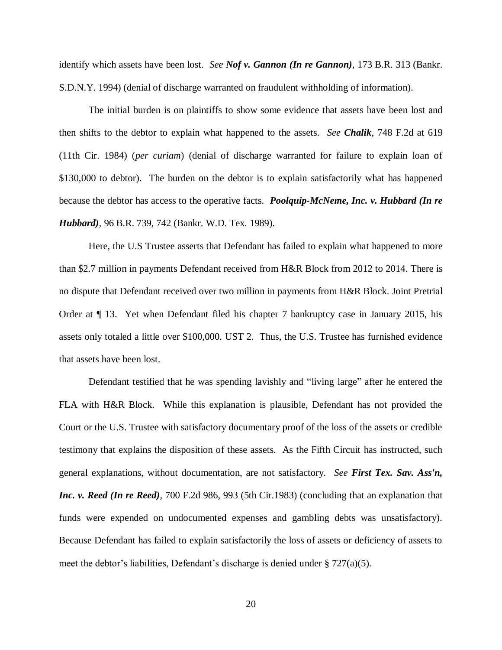identify which assets have been lost. *See Nof v. Gannon (In re Gannon)*, 173 B.R. 313 (Bankr. S.D.N.Y. 1994) (denial of discharge warranted on fraudulent withholding of information).

The initial burden is on plaintiffs to show some evidence that assets have been lost and then shifts to the debtor to explain what happened to the assets. *See Chalik*, 748 F.2d at 619 (11th Cir. 1984) (*per curiam*) (denial of discharge warranted for failure to explain loan of \$130,000 to debtor). The burden on the debtor is to explain satisfactorily what has happened because the debtor has access to the operative facts. *Poolquip-McNeme, Inc. v. Hubbard (In re Hubbard)*, 96 B.R. 739, 742 (Bankr. W.D. Tex. 1989).

Here, the U.S Trustee asserts that Defendant has failed to explain what happened to more than \$2.7 million in payments Defendant received from H&R Block from 2012 to 2014. There is no dispute that Defendant received over two million in payments from H&R Block. Joint Pretrial Order at ¶ 13. Yet when Defendant filed his chapter 7 bankruptcy case in January 2015, his assets only totaled a little over \$100,000. UST 2. Thus, the U.S. Trustee has furnished evidence that assets have been lost.

Defendant testified that he was spending lavishly and "living large" after he entered the FLA with H&R Block. While this explanation is plausible, Defendant has not provided the Court or the U.S. Trustee with satisfactory documentary proof of the loss of the assets or credible testimony that explains the disposition of these assets. As the Fifth Circuit has instructed, such general explanations, without documentation, are not satisfactory. *See First Tex. Sav. Ass'n, Inc. v. Reed (In re Reed), 700 F.2d 986, 993 (5th Cir.1983) (concluding that an explanation that* funds were expended on undocumented expenses and gambling debts was unsatisfactory). Because Defendant has failed to explain satisfactorily the loss of assets or deficiency of assets to meet the debtor's liabilities, Defendant's discharge is denied under  $\S 727(a)(5)$ .